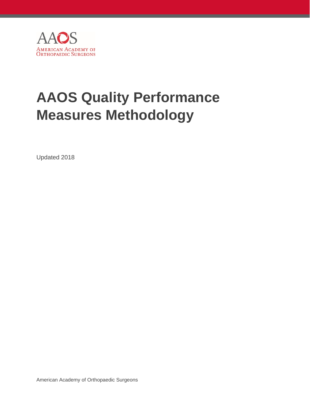

# **AAOS Quality Performance Measures Methodology**

Updated 2018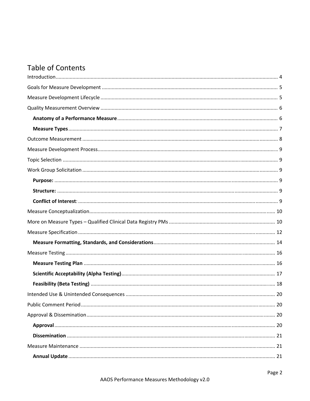## **Table of Contents**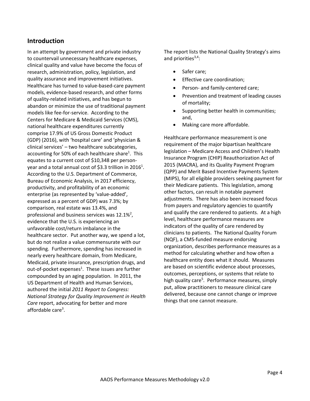## <span id="page-3-0"></span>**Introduction**

In an attempt by government and private industry to countervail unnecessary healthcare expenses, clinical quality and value have become the focus of research, administration, policy, legislation, and quality assurance and improvement initiatives. Healthcare has turned to value‐based‐care payment models, evidence‐based research, and other forms of quality‐related initiatives, and has begun to abandon or minimize the use of traditional payment models like fee‐for‐service. According to the Centers for Medicare & Medicaid Services (CMS), national healthcare expenditures currently comprise 17.9% of US Gross Domestic Product (GDP) (2016), with 'hospital care' and 'physician & clinical services' – two healthcare subcategories, accounting for 50% of each healthcare share<sup>1</sup>. This equates to a current cost of \$10,348 per person‐ year and a total annual cost of \$3.3 trillion in 2016<sup>1</sup>. According to the U.S. Department of Commerce, Bureau of Economic Analysis, in 2017 efficiency, productivity, and profitability of an economic enterprise (as represented by 'value‐added', expressed as a percent of GDP) was 7.3%; by comparison, real estate was 13.4%, and professional and business services was  $12.1\%^2$ , evidence that the U.S. is experiencing an unfavorable cost/return imbalance in the healthcare sector. Put another way, we spend a lot, but do not realize a value commensurate with our spending. Furthermore, spending has increased in nearly every healthcare domain, from Medicare, Medicaid, private insurance, prescription drugs, and out-of-pocket expenses<sup>1</sup>. These issues are further compounded by an aging population. In 2011, the US Department of Health and Human Services, authored the initial *2011 Report to Congress: National Strategy for Quality Improvement in Health Care* report, advocating for better and more affordable care<sup>3</sup>.

The report lists the National Quality Strategy's aims and priorities<sup>3,4</sup>:

- Safer care;
- Effective care coordination;
- Person‐ and family‐centered care;
- Prevention and treatment of leading causes of mortality;
- Supporting better health in communities; and,
- Making care more affordable.

Healthcare performance measurement is one requirement of the major bipartisan healthcare legislation – Medicare Access and Children's Health Insurance Program (CHIP) Reauthorization Act of 2015 (MACRA), and its Quality Payment Program (QPP) and Merit Based Incentive Payments System (MIPS), for all eligible providers seeking payment for their Medicare patients. This legislation, among other factors, can result in notable payment adjustments. There has also been increased focus from payers and regulatory agencies to quantify and qualify the care rendered to patients. At a high level, healthcare performance measures are indicators of the quality of care rendered by clinicians to patients. The National Quality Forum (NQF), a CMS‐funded measure endorsing organization, describes performance measures as a method for calculating whether and how often a healthcare entity does what it should. Measures are based on scientific evidence about processes, outcomes, perceptions, or systems that relate to high quality care<sup>5</sup>. Performance measures, simply put, allow practitioners to measure clinical care delivered, because one cannot change or improve things that one cannot measure.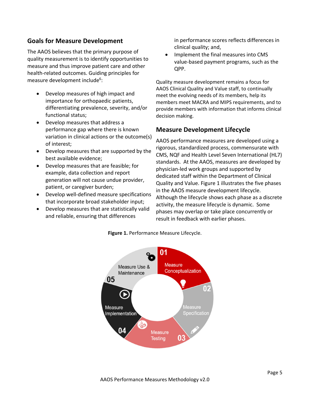## <span id="page-4-0"></span>**Goals for Measure Development**

The AAOS believes that the primary purpose of quality measurement is to identify opportunities to measure and thus improve patient care and other health-related outcomes. Guiding principles for measure development include<sup>6</sup>:

- Develop measures of high impact and importance for orthopaedic patients, differentiating prevalence, severity, and/or functional status;
- Develop measures that address a performance gap where there is known variation in clinical actions or the outcome(s) of interest;
- Develop measures that are supported by the best available evidence;
- Develop measures that are feasible; for example, data collection and report generation will not cause undue provider, patient, or caregiver burden;
- Develop well-defined measure specifications that incorporate broad stakeholder input;
- Develop measures that are statistically valid and reliable, ensuring that differences

in performance scores reflects differences in clinical quality; and,

 Implement the final measures into CMS value‐based payment programs, such as the QPP.

Quality measure development remains a focus for AAOS Clinical Quality and Value staff, to continually meet the evolving needs of its members, help its members meet MACRA and MIPS requirements, and to provide members with information that informs clinical decision making.

## **Measure Development Lifecycle**

AAOS performance measures are developed using a rigorous, standardized process, commensurate with CMS, NQF and Health Level Seven International (HL7) standards. At the AAOS, measures are developed by physician‐led work groups and supported by dedicated staff within the Department of Clinical Quality and Value. Figure 1 illustrates the five phases in the AAOS measure development lifecycle. Although the lifecycle shows each phase as a discrete activity, the measure lifecycle is dynamic. Some phases may overlap or take place concurrently or result in feedback with earlier phases.

**Figure 1.** Performance Measure Lifecycle.

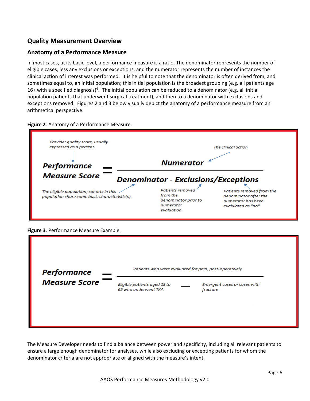## <span id="page-5-0"></span>**Quality Measurement Overview**

### **Anatomy of a Performance Measure**

In most cases, at its basic level, a performance measure is a ratio. The denominator represents the number of eligible cases, less any exclusions or exceptions, and the numerator represents the number of instances the clinical action of interest was performed. It is helpful to note that the denominator is often derived from, and sometimes equal to, an initial population; this initial population is the broadest grouping (e.g. all patients age 16+ with a specified diagnosis)<sup>6</sup>. The initial population can be reduced to a denominator (e.g. all initial population patients that underwent surgical treatment), and then to a denominator with exclusions and exceptions removed. Figures 2 and 3 below visually depict the anatomy of a performance measure from an arithmetical perspective.

### **Figure 2**. Anatomy of a Performance Measure.



**Figure 3**. Performance Measure Example.

| <b>Performance</b>   |                                                      | Patients who were evaluated for pain, post-operatively |
|----------------------|------------------------------------------------------|--------------------------------------------------------|
| <b>Measure Score</b> | Eligible patients aged 18 to<br>65 who underwent TKA | Emergent cases or cases with<br>fracture               |
|                      |                                                      |                                                        |

The Measure Developer needs to find a balance between power and specificity, including all relevant patients to ensure a large enough denominator for analyses, while also excluding or excepting patients for whom the denominator criteria are not appropriate or aligned with the measure's intent.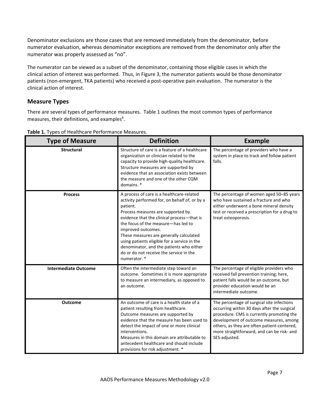<span id="page-6-0"></span>Denominator exclusions are those cases that are removed immediately from the denominator, before numerator evaluation, whereas denominator exceptions are removed from the denominator only after the numerator was properly assessed as "no".

The numerator can be viewed as a subset of the denominator, containing those eligible cases in which the clinical action of interest was performed. Thus, in Figure 3, the numerator patients would be those denominator patients (non-emergent, TKA patients) who received a post-operative pain evaluation. The numerator is the clinical action of interest.

## **Measure Types**

There are several types of performance measures. Table 1 outlines the most common types of performance measures, their definitions, and examples<sup>6</sup>.

| <b>Type of Measure</b>      | <b>Definition</b>                                                                                                                                                                                                                                                                                                                                                                                                                                        | <b>Example</b>                                                                                                                                                                                                                                                                                 |
|-----------------------------|----------------------------------------------------------------------------------------------------------------------------------------------------------------------------------------------------------------------------------------------------------------------------------------------------------------------------------------------------------------------------------------------------------------------------------------------------------|------------------------------------------------------------------------------------------------------------------------------------------------------------------------------------------------------------------------------------------------------------------------------------------------|
| <b>Structural</b>           | Structure of care is a feature of a healthcare<br>organization or clinician related to the<br>capacity to provide high-quality healthcare.<br>Structure measures are supported by<br>evidence that an association exists between<br>the measure and one of the other CQM<br>domains. *                                                                                                                                                                   | The percentage of providers who have a<br>system in place to track and follow patient<br>falls.                                                                                                                                                                                                |
| <b>Process</b>              | A process of care is a healthcare-related<br>activity performed for, on behalf of, or by a<br>patient.<br>Process measures are supported by<br>evidence that the clinical process-that is<br>the focus of the measure-has led to<br>improved outcomes.<br>These measures are generally calculated<br>using patients eligible for a service in the<br>denominator, and the patients who either<br>do or do not receive the service in the<br>numerator. * | The percentage of women aged 50-85 years<br>who have sustained a fracture and who<br>either underwent a bone mineral density<br>test or received a prescription for a drug to<br>treat osteoporosis.                                                                                           |
| <b>Intermediate Outcome</b> | Often the intermediate step toward an<br>outcome. Sometimes it is more appropriate<br>to measure an intermediary, as opposed to<br>an outcome.                                                                                                                                                                                                                                                                                                           | The percentage of eligible providers who<br>received fall prevention training; here,<br>patient falls would be an outcome, but<br>provider education would be an<br>intermediate outcome.                                                                                                      |
| <b>Outcome</b>              | An outcome of care is a health state of a<br>patient resulting from healthcare.<br>Outcome measures are supported by<br>evidence that the measure has been used to<br>detect the impact of one or more clinical<br>interventions.<br>Measures in this domain are attributable to<br>antecedent healthcare and should include<br>provisions for risk adjustment. *                                                                                        | The percentage of surgical site infections<br>occurring within 30 days after the surgical<br>procedure. CMS is currently promoting the<br>development of outcome measures, among<br>others, as they are often patient-centered,<br>more straightforward, and can be risk- and<br>SES-adjusted. |

**Table 1.** Types of Healthcare Performance Measures.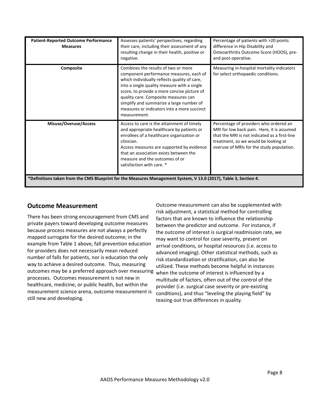<span id="page-7-0"></span>

| <b>Patient-Reported Outcome Performance</b><br><b>Measures</b> | Assesses patients' perspectives, regarding<br>their care, including their assessment of any<br>resulting change in their health, positive or<br>negative.                                                                                                                                                                                                                                                                    | Percentage of patients with >20 points<br>difference in Hip Disability and<br>Osteoarthritis Outcome Score (HOOS), pre-<br>and post-operative.                                                                             |
|----------------------------------------------------------------|------------------------------------------------------------------------------------------------------------------------------------------------------------------------------------------------------------------------------------------------------------------------------------------------------------------------------------------------------------------------------------------------------------------------------|----------------------------------------------------------------------------------------------------------------------------------------------------------------------------------------------------------------------------|
| Composite                                                      | Combines the results of two or more<br>component performance measures, each of<br>which individually reflects quality of care,<br>into a single quality measure with a single<br>score, to provide a more concise picture of<br>quality care. Composite measures can<br>simplify and summarize a large number of<br>measures or indicators into a more succinct<br>measurement.                                              | Measuring in-hospital mortality indicators<br>for select orthopaedic conditions.                                                                                                                                           |
| Misuse/Overuse/Access                                          | Access to care is the attainment of timely<br>and appropriate healthcare by patients or<br>enrollees of a healthcare organization or<br>clinician.<br>Access measures are supported by evidence<br>that an association exists between the<br>measure and the outcomes of or<br>satisfaction with care. *<br>*Definitions taken from the CMS Blueprint for the Measures Management System, V 13.0 (2017), Table 3, Section 4. | Percentage of providers who ordered an<br>MRI for low back pain. Here, it is assumed<br>that the MRI is not indicated as a first-line<br>treatment, so we would be looking at<br>overuse of MRIs for the study population. |

## **Outcome Measurement**

There has been strong encouragement from CMS and private payers toward developing outcome measures because process measures are not always a perfectly mapped surrogate for the desired outcome; in the example from Table 1 above, fall prevention education for providers does not necessarily mean reduced number of falls for patients, nor is education the only way to achieve a desired outcome. Thus, measuring outcomes may be a preferred approach over measuring processes. Outcomes measurement is not new in healthcare, medicine, or public health, but within the measurement science arena, outcome measurement is still new and developing.

Outcome measurement can also be supplemented with risk adjustment, a statistical method for controlling factors that are known to influence the relationship between the predictor and outcome. For instance, if the outcome of interest is surgical readmission rate, we may want to control for case severity, present on arrival conditions, or hospital resources (i.e. access to advanced imaging). Other statistical methods, such as risk standardization or stratification, can also be utilized. These methods become helpful in instances when the outcome of interest is influenced by a multitude of factors, often out of the control of the provider (i.e. surgical case severity or pre‐existing conditions), and thus "leveling the playing field" by teasing out true differences in quality.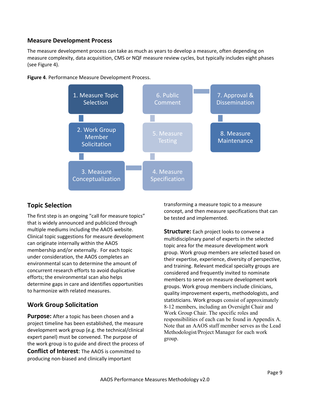### <span id="page-8-0"></span>**Measure Development Process**

The measure development process can take as much as years to develop a measure, often depending on measure complexity, data acquisition, CMS or NQF measure review cycles, but typically includes eight phases (see Figure 4).





## **Topic Selection**

The first step is an ongoing "call for measure topics" that is widely announced and publicized through multiple mediums including the AAOS website. Clinical topic suggestions for measure development can originate internally within the AAOS membership and/or externally. For each topic under consideration, the AAOS completes an environmental scan to determine the amount of concurrent research efforts to avoid duplicative efforts; the environmental scan also helps determine gaps in care and identifies opportunities to harmonize with related measures.

## **Work Group Solicitation**

**Purpose:** After a topic has been chosen and a project timeline has been established, the measure development work group (e.g. the technical/clinical expert panel) must be convened. The purpose of the work group is to guide and direct the process of **Conflict of Interest**: The AAOS is committed to producing non‐biased and clinically important

transforming a measure topic to a measure concept, and then measure specifications that can be tested and implemented.

**Structure:** Each project looks to convene a multidisciplinary panel of experts in the selected topic area for the measure development work group. Work group members are selected based on their expertise, experience, diversity of perspective, and training. Relevant medical specialty groups are considered and frequently invited to nominate members to serve on measure development work groups. Work group members include clinicians, quality improvement experts, methodologists, and statisticians. Work groups consist of approximately 8-12 members, including an Oversight Chair and Work Group Chair. The specific roles and responsibilities of each can be found in Appendix A. Note that an AAOS staff member serves as the Lead Methodologist/Project Manager for each work group.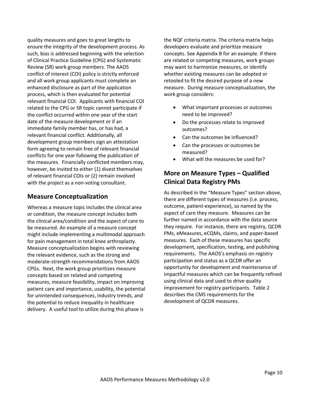<span id="page-9-0"></span>quality measures and goes to great lengths to ensure the integrity of the development process. As such, bias is addressed beginning with the selection of Clinical Practice Guideline (CPG) and Systematic Review (SR) work group members. The AAOS conflict of interest (COI) policy is strictly enforced and all work group applicants must complete an enhanced disclosure as part of the application process, which is then evaluated for potential relevant financial COI. Applicants with financial COI related to the CPG or SR topic cannot participate if the conflict occurred within one year of the start date of the measure development or if an immediate family member has, or has had, a relevant financial conflict. Additionally, all development group members sign an attestation form agreeing to remain free of relevant financial conflicts for one year following the publication of the measures. Financially conflicted members may, however, be invited to either (1) divest themselves of relevant financial COIs or (2) remain involved with the project as a non-voting consultant.

## **Measure Conceptualization**

Whereas a measure topic includes the clinical area or condition, the measure concept includes both the clinical area/condition and the aspect of care to be measured. An example of a measure concept might include implementing a multimodal approach for pain management in total knee arthroplasty. Measure conceptualization begins with reviewing the relevant evidence, such as the strong and moderate‐strength recommendations from AAOS CPGs. Next, the work group prioritizes measure concepts based on related and competing measures, measure feasibility, impact on improving patient care and importance, usability, the potential for unintended consequences, industry trends, and the potential to reduce inequality in healthcare delivery. A useful tool to utilize during this phase is

the NQF criteria matrix. The criteria matrix helps developers evaluate and prioritize measure concepts. See Appendix B for an example. If there are related or competing measures, work groups may want to harmonize measures, or identify whether existing measures can be adopted or retooled to fit the desired purpose of a new measure. During measure conceptualization, the work group considers:

- What important processes or outcomes need to be improved?
- Do the processes relate to improved outcomes?
- Can the outcomes be influenced?
- Can the processes or outcomes be measured?
- What will the measures be used for?

## **More on Measure Types – Qualified Clinical Data Registry PMs**

As described in the "Measure Types" section above, there are different types of measures (i.e. process, outcome, patient‐experience), so named by the aspect of care they measure. Measures can be further named in accordance with the data source they require. For instance, there are registry, QCDR PMs, eMeasures, eCQMs, claims, and paper‐based measures. Each of these measures has specific development, specification, testing, and publishing requirements. The AAOS's emphasis on registry participation and status as a QCDR offer an opportunity for development and maintenance of impactful measures which can be frequently refined using clinical data and used to drive quality improvement for registry participants. Table 2 describes the CMS requirements for the development of QCDR measures.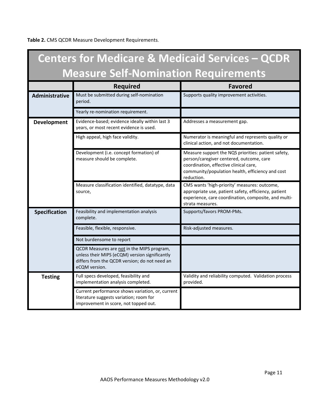**Table 2.** CMS QCDR Measure Development Requirements.

|                                             | <b>Centers for Medicare &amp; Medicaid Services - QCDR</b>                                                                                                     |                                                                                                                                                                                                             |  |  |
|---------------------------------------------|----------------------------------------------------------------------------------------------------------------------------------------------------------------|-------------------------------------------------------------------------------------------------------------------------------------------------------------------------------------------------------------|--|--|
| <b>Measure Self-Nomination Requirements</b> |                                                                                                                                                                |                                                                                                                                                                                                             |  |  |
|                                             | <b>Required</b>                                                                                                                                                | <b>Favored</b>                                                                                                                                                                                              |  |  |
| Administrative                              | Must be submitted during self-nomination<br>period.                                                                                                            | Supports quality improvement activities.                                                                                                                                                                    |  |  |
|                                             | Yearly re-nomination requirement.                                                                                                                              |                                                                                                                                                                                                             |  |  |
| <b>Development</b>                          | Evidence-based; evidence ideally within last 3<br>years, or most recent evidence is used.                                                                      | Addresses a measurement gap.                                                                                                                                                                                |  |  |
|                                             | High appeal, high face validity.                                                                                                                               | Numerator is meaningful and represents quality or<br>clinical action, and not documentation.                                                                                                                |  |  |
|                                             | Development (i.e. concept formation) of<br>measure should be complete.                                                                                         | Measure support the NQS priorities: patient safety,<br>person/caregiver centered, outcome, care<br>coordination, effective clinical care,<br>community/population health, efficiency and cost<br>reduction. |  |  |
|                                             | Measure classification identified, datatype, data<br>source,                                                                                                   | CMS wants 'high-priority' measures: outcome,<br>appropriate use, patient safety, efficiency, patient<br>experience, care coordination, composite, and multi-<br>strata measures.                            |  |  |
| <b>Specification</b>                        | Feasibility and implementation analysis<br>complete.                                                                                                           | Supports/favors PROM-PMs.                                                                                                                                                                                   |  |  |
|                                             | Feasible, flexible, responsive.                                                                                                                                | Risk-adjusted measures.                                                                                                                                                                                     |  |  |
|                                             | Not burdensome to report                                                                                                                                       |                                                                                                                                                                                                             |  |  |
|                                             | QCDR Measures are not in the MIPS program,<br>unless their MIPS (eCQM) version significantly<br>differs from the QCDR version; do not need an<br>eCQM version. |                                                                                                                                                                                                             |  |  |
| <b>Testing</b>                              | Full specs developed, feasibility and<br>implementation analysis completed.                                                                                    | Validity and reliability computed. Validation process<br>provided.                                                                                                                                          |  |  |
|                                             | Current performance shows variation, or, current<br>literature suggests variation; room for<br>improvement in score, not topped out.                           |                                                                                                                                                                                                             |  |  |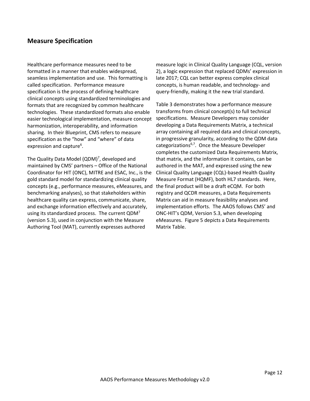## <span id="page-11-0"></span>**Measure Specification**

Healthcare performance measures need to be formatted in a manner that enables widespread, seamless implementation and use. This formatting is called specification. Performance measure specification is the process of defining healthcare clinical concepts using standardized terminologies and formats that are recognized by common healthcare technologies. These standardized formats also enable easier technological implementation, measure concept harmonization, interoperability, and information sharing. In their Blueprint, CMS refers to measure specification as the "how" and "where" of data expression and capture<sup>6</sup>.

The Quality Data Model (QDM)<sup>7</sup>, developed and maintained by CMS' partners – Office of the National Coordinator for HIT (ONC), MITRE and ESAC, Inc., is the gold standard model for standardizing clinical quality concepts (e.g., performance measures, eMeasures, and the final product will be a draft eCQM. For both benchmarking analyses), so that stakeholders within healthcare quality can express, communicate, share, and exchange information effectively and accurately, using its standardized process. The current  $QDM<sup>7</sup>$ (version 5.3), used in conjunction with the Measure Authoring Tool (MAT), currently expresses authored

measure logic in Clinical Quality Language (CQL, version 2), a logic expression that replaced QDMs' expression in late 2017; CQL can better express complex clinical concepts, is human readable, and technology‐ and query‐friendly, making it the new trial standard.

Table 3 demonstrates how a performance measure transforms from clinical concept(s) to full technical specifications. Measure Developers may consider developing a Data Requirements Matrix, a technical array containing all required data and clinical concepts, in progressive granularity, according to the QDM data categorizations<sup>6,7</sup>. Once the Measure Developer completes the customized Data Requirements Matrix, that matrix, and the information it contains, can be authored in the MAT, and expressed using the new Clinical Quality Language (CQL)‐based Health Quality Measure Format (HQMF), both HL7 standards. Here, registry and QCDR measures, a Data Requirements Matrix can aid in measure feasibility analyses and implementation efforts. The AAOS follows CMS' and ONC‐HIT's QDM, Version 5.3, when developing eMeasures. Figure 5 depicts a Data Requirements Matrix Table.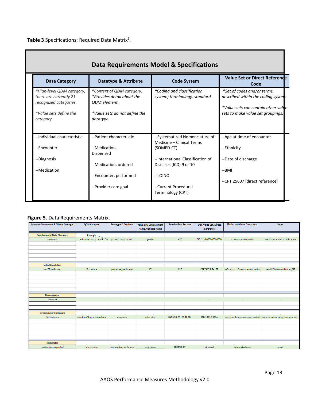**Table 3** Specifications: Required Data Matrix<sup>6</sup>.

| Data Requirements Model & Specifications                                                                             |                                                                                                                              |                                                              |                                                                                                                                                |  |
|----------------------------------------------------------------------------------------------------------------------|------------------------------------------------------------------------------------------------------------------------------|--------------------------------------------------------------|------------------------------------------------------------------------------------------------------------------------------------------------|--|
| Data Category                                                                                                        | <b>Datatype &amp; Attribute</b>                                                                                              | <b>Code System</b>                                           | <b>Value Set or Direct Reference</b><br>Code                                                                                                   |  |
| *High-level QDM category;<br>there are currently 21<br>recognized categories.<br>*Value sets define the<br>category. | *Context of QDM category.<br>*Provides detail about the<br><b>QDM</b> element.<br>*Value sets do not define the<br>datatype. | *Coding and classification<br>system; terminology, standard. | *Set of codes and/or terms,<br>described within the coding system.<br>*Value sets can contain other value<br>sets to make value set groupings. |  |
| --Individual characteristic                                                                                          | --Patient characteristic                                                                                                     | --Systematized Nomenclature of<br>Medicine - Clinical Terms  | --Age at time of encounter                                                                                                                     |  |
| --Encounter                                                                                                          | --Medication.<br>Dispensed                                                                                                   | (SOMED-CT)                                                   | --Ethnicity                                                                                                                                    |  |
| --Diagnosis<br>--Medication                                                                                          | --Medication, ordered                                                                                                        | --International Classification of<br>Diseases (ICD) 9 or 10  | --Date of discharge<br>--BMI                                                                                                                   |  |
|                                                                                                                      | --Encounter, performed                                                                                                       | --LOINC                                                      | -- CPT 25607 [direct reference]                                                                                                                |  |
|                                                                                                                      | --Provider care goal                                                                                                         | --Current Procedural<br>Terminology (CPT)                    |                                                                                                                                                |  |

## **Figure 5.** Data Requirements Matrix.

| <b>Measure Component &amp; Clinical Concepts</b> | <b>QDM Category</b>         | <b>Datatype &amp; Attribute</b> | <b>Value Set, Data Element</b><br>Name, Variable Name | <b>Standardized System</b> | <b>OID, Value Set, Direct</b><br><b>Reference</b> | <b>Timing and Other Constraints</b> | <b>Notes</b>                        |
|--------------------------------------------------|-----------------------------|---------------------------------|-------------------------------------------------------|----------------------------|---------------------------------------------------|-------------------------------------|-------------------------------------|
|                                                  |                             |                                 |                                                       |                            |                                                   |                                     |                                     |
| <b>Supplemental Data Elements</b>                | <b>Example</b>              |                                 |                                                       |                            |                                                   |                                     |                                     |
| <women></women>                                  | individual characteristic   | patient characteristic          | gender                                                | HL7                        | OID: 2.16.000000000000.                           | at measurement period               | measure calls for stratification    |
|                                                  |                             |                                 |                                                       |                            |                                                   |                                     |                                     |
|                                                  |                             |                                 |                                                       |                            |                                                   |                                     |                                     |
|                                                  |                             |                                 |                                                       |                            |                                                   |                                     |                                     |
|                                                  |                             |                                 |                                                       |                            |                                                   |                                     |                                     |
|                                                  |                             |                                 |                                                       |                            |                                                   |                                     |                                     |
| <b>Initial Population</b>                        |                             |                                 |                                                       |                            |                                                   |                                     |                                     |
| had CT performed                                 | Procedure                   | procedure, performed            | <b>CT</b>                                             | CPT                        | CPT 74176, 74178                                  | before start of measurement period  | need CT before and during MP        |
|                                                  |                             |                                 |                                                       |                            |                                                   |                                     |                                     |
|                                                  |                             |                                 |                                                       |                            |                                                   |                                     |                                     |
|                                                  |                             |                                 |                                                       |                            |                                                   |                                     |                                     |
|                                                  |                             |                                 |                                                       |                            |                                                   |                                     |                                     |
|                                                  |                             |                                 |                                                       |                            |                                                   |                                     |                                     |
| <b>Denominator</b>                               |                             |                                 |                                                       |                            |                                                   |                                     |                                     |
| equals IP                                        | $\sim$                      |                                 | $\sim$                                                | ٠                          | $\sim$                                            | $\sim$                              | ٠                                   |
|                                                  |                             |                                 |                                                       |                            |                                                   |                                     |                                     |
|                                                  |                             |                                 |                                                       |                            |                                                   |                                     |                                     |
| <b>Denominator Exclusions</b>                    |                             |                                 |                                                       |                            |                                                   |                                     |                                     |
| hip fractures                                    | condition/diagnosis/problem | diagnosis                       | prim_diag                                             | SNOMED-CT, ICD-10-CM       | ICD-10 \$32,301A                                  | overlaps the measurement period     | must be primary diag, not secondary |
|                                                  |                             |                                 |                                                       |                            |                                                   |                                     |                                     |
|                                                  |                             |                                 |                                                       |                            |                                                   |                                     |                                     |
|                                                  |                             |                                 |                                                       |                            |                                                   |                                     |                                     |
|                                                  |                             |                                 |                                                       |                            |                                                   |                                     |                                     |
|                                                  |                             |                                 |                                                       |                            |                                                   |                                     |                                     |
| Numerator                                        |                             |                                 |                                                       |                            |                                                   |                                     |                                     |
| medication reconciled                            | intervention                | intervention, performed         | med recon                                             | SNOMED-CT                  | direct ref                                        | before discharge                    | result                              |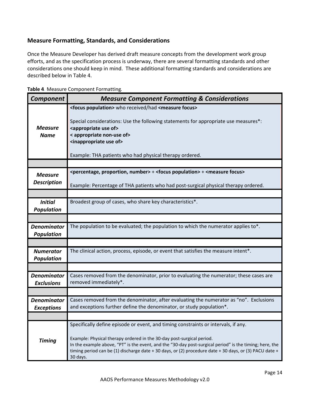## <span id="page-13-0"></span>**Measure Formatting, Standards, and Considerations**

Once the Measure Developer has derived draft measure concepts from the development work group efforts, and as the specification process is underway, there are several formatting standards and other considerations one should keep in mind. These additional formatting standards and considerations are described below in Table 4.

| <b>Component</b>                        | <b>Measure Component Formatting &amp; Considerations</b>                                                                                                                                                                                                                                                                                                                                     |
|-----------------------------------------|----------------------------------------------------------------------------------------------------------------------------------------------------------------------------------------------------------------------------------------------------------------------------------------------------------------------------------------------------------------------------------------------|
| <b>Measure</b><br><b>Name</b>           | <focus population=""> who received/had <measure focus=""><br/>Special considerations: Use the following statements for appropriate use measures*:<br/><appropriate of="" use=""><br/>&lt; appropriate non-use of&gt;<br/><inappropriate of="" use=""><br/>Example: THA patients who had physical therapy ordered.</inappropriate></appropriate></measure></focus>                            |
|                                         |                                                                                                                                                                                                                                                                                                                                                                                              |
| <b>Measure</b>                          | <percentage, number="" proportion,=""> + <focus population=""> + <measure focus=""></measure></focus></percentage,>                                                                                                                                                                                                                                                                          |
| <b>Description</b>                      | Example: Percentage of THA patients who had post-surgical physical therapy ordered.                                                                                                                                                                                                                                                                                                          |
|                                         |                                                                                                                                                                                                                                                                                                                                                                                              |
| <b>Initial</b><br><b>Population</b>     | Broadest group of cases, who share key characteristics*.                                                                                                                                                                                                                                                                                                                                     |
|                                         |                                                                                                                                                                                                                                                                                                                                                                                              |
| <b>Denominator</b><br><b>Population</b> | The population to be evaluated; the population to which the numerator applies to*.                                                                                                                                                                                                                                                                                                           |
|                                         |                                                                                                                                                                                                                                                                                                                                                                                              |
| <b>Numerator</b><br><b>Population</b>   | The clinical action, process, episode, or event that satisfies the measure intent*.                                                                                                                                                                                                                                                                                                          |
|                                         |                                                                                                                                                                                                                                                                                                                                                                                              |
| <b>Denominator</b><br><b>Exclusions</b> | Cases removed from the denominator, prior to evaluating the numerator; these cases are<br>removed immediately*.                                                                                                                                                                                                                                                                              |
|                                         |                                                                                                                                                                                                                                                                                                                                                                                              |
| <b>Denominator</b><br><b>Exceptions</b> | Cases removed from the denominator, after evaluating the numerator as "no". Exclusions<br>and exceptions further define the denominator, or study population*.                                                                                                                                                                                                                               |
|                                         |                                                                                                                                                                                                                                                                                                                                                                                              |
| <b>Timing</b>                           | Specifically define episode or event, and timing constraints or intervals, if any.<br>Example: Physical therapy ordered in the 30-day post-surgical period.<br>In the example above, "PT" is the event, and the "30-day post-surgical period" is the timing; here, the<br>timing period can be (1) discharge date + 30 days, or (2) procedure date + 30 days, or (3) PACU date +<br>30 days. |

**Table 4**. Measure Component Formatting.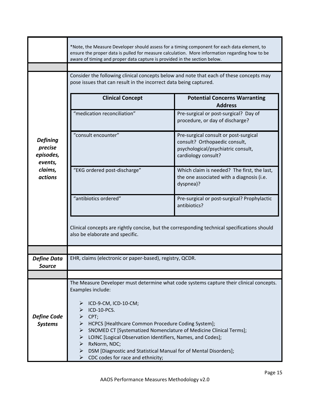|                                                                                 | *Note, the Measure Developer should assess for a timing component for each data element, to<br>ensure the proper data is pulled for measure calculation. More information regarding how to be<br>aware of timing and proper data capture is provided in the section below.                                                                                                                                                 |                                                                                                                                                                                                                                                                                                                                                                                                                                                                                                                                                   |  |  |
|---------------------------------------------------------------------------------|----------------------------------------------------------------------------------------------------------------------------------------------------------------------------------------------------------------------------------------------------------------------------------------------------------------------------------------------------------------------------------------------------------------------------|---------------------------------------------------------------------------------------------------------------------------------------------------------------------------------------------------------------------------------------------------------------------------------------------------------------------------------------------------------------------------------------------------------------------------------------------------------------------------------------------------------------------------------------------------|--|--|
| <b>Defining</b><br>precise<br>episodes,<br>events,<br>claims,<br><b>actions</b> | Consider the following clinical concepts below and note that each of these concepts may<br>pose issues that can result in the incorrect data being captured.<br><b>Clinical Concept</b><br>"medication reconciliation"<br>"consult encounter"<br>"EKG ordered post-discharge"<br>"antibiotics ordered"<br>also be elaborate and specific.                                                                                  | <b>Potential Concerns Warranting</b><br><b>Address</b><br>Pre-surgical or post-surgical? Day of<br>procedure, or day of discharge?<br>Pre-surgical consult or post-surgical<br>consult? Orthopaedic consult,<br>psychological/psychiatric consult,<br>cardiology consult?<br>Which claim is needed? The first, the last,<br>the one associated with a diagnosis (i.e.<br>dyspnea)?<br>Pre-surgical or post-surgical? Prophylactic<br>antibiotics?<br>Clinical concepts are rightly concise, but the corresponding technical specifications should |  |  |
| <b>Define Data</b><br><b>Source</b>                                             | EHR, claims (electronic or paper-based), registry, QCDR.                                                                                                                                                                                                                                                                                                                                                                   |                                                                                                                                                                                                                                                                                                                                                                                                                                                                                                                                                   |  |  |
| <b>Define Code</b><br><b>Systems</b>                                            | Examples include:<br>ICD-9-CM, ICD-10-CM;<br>➤<br>ICD-10-PCS.<br>CPT;<br>➤<br>HCPCS [Healthcare Common Procedure Coding System];<br>➤<br>SNOMED CT [Systematized Nomenclature of Medicine Clinical Terms];<br>➤<br>LOINC [Logical Observation Identifiers, Names, and Codes];<br>➤<br>RxNorm, NDC;<br>➤<br>DSM [Diagnostic and Statistical Manual for of Mental Disorders];<br>➤<br>CDC codes for race and ethnicity;<br>➤ | The Measure Developer must determine what code systems capture their clinical concepts.                                                                                                                                                                                                                                                                                                                                                                                                                                                           |  |  |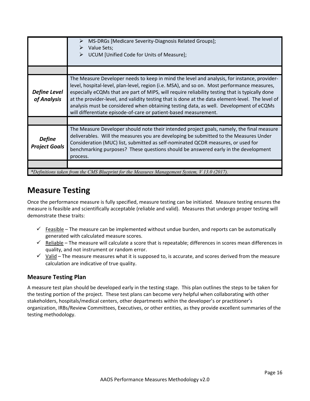<span id="page-15-0"></span>

|                                       | MS-DRGs [Medicare Severity-Diagnosis Related Groups];<br>➤<br>Value Sets;<br>➤<br>UCUM [Unified Code for Units of Measure];<br>➤                                                                                                                                                                                                                                                                                                                                                                                                                                |
|---------------------------------------|-----------------------------------------------------------------------------------------------------------------------------------------------------------------------------------------------------------------------------------------------------------------------------------------------------------------------------------------------------------------------------------------------------------------------------------------------------------------------------------------------------------------------------------------------------------------|
|                                       |                                                                                                                                                                                                                                                                                                                                                                                                                                                                                                                                                                 |
| <b>Define Level</b><br>of Analysis    | The Measure Developer needs to keep in mind the level and analysis, for instance, provider-<br>level, hospital-level, plan-level, region (i.e. MSA), and so on. Most performance measures,<br>especially eCQMs that are part of MIPS, will require reliability testing that is typically done<br>at the provider-level, and validity testing that is done at the data element-level. The level of<br>analysis must be considered when obtaining testing data, as well. Development of eCQMs<br>will differentiate episode-of-care or patient-based measurement. |
|                                       |                                                                                                                                                                                                                                                                                                                                                                                                                                                                                                                                                                 |
| <b>Define</b><br><b>Project Goals</b> | The Measure Developer should note their intended project goals, namely, the final measure<br>deliverables. Will the measures you are developing be submitted to the Measures Under<br>Consideration (MUC) list, submitted as self-nominated QCDR measures, or used for<br>benchmarking purposes? These questions should be answered early in the development<br>process.                                                                                                                                                                                        |
|                                       |                                                                                                                                                                                                                                                                                                                                                                                                                                                                                                                                                                 |
|                                       | *Definitions taken from the CMS Blueprint for the Measures Management System, V 13.0 (2017).                                                                                                                                                                                                                                                                                                                                                                                                                                                                    |

## **Measure Testing**

Once the performance measure is fully specified, measure testing can be initiated. Measure testing ensures the measure is feasible and scientifically acceptable (reliable and valid). Measures that undergo proper testing will demonstrate these traits:

- $\checkmark$  Feasible The measure can be implemented without undue burden, and reports can be automatically generated with calculated measure scores.
- $\checkmark$  Reliable The measure will calculate a score that is repeatable; differences in scores mean differences in quality, and not instrument or random error.
- $\checkmark$  Valid The measure measures what it is supposed to, is accurate, and scores derived from the measure calculation are indicative of true quality.

## **Measure Testing Plan**

A measure test plan should be developed early in the testing stage. This plan outlines the steps to be taken for the testing portion of the project. These test plans can become very helpful when collaborating with other stakeholders, hospitals/medical centers, other departments within the developer's or practitioner's organization, IRBs/Review Committees, Executives, or other entities, as they provide excellent summaries of the testing methodology.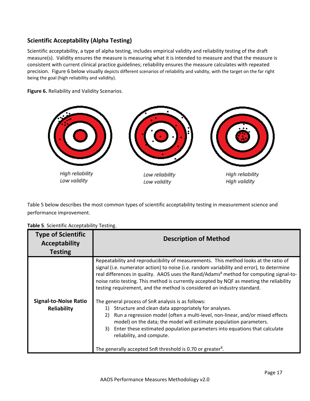## <span id="page-16-0"></span>**Scientific Acceptability (Alpha Testing)**

Scientific acceptability, a type of alpha testing, includes empirical validity and reliability testing of the draft measure(s). Validity ensures the measure is measuring what it is intended to measure and that the measure is consistent with current clinical practice guidelines; reliability ensures the measure calculates with repeated precision. Figure 6 below visually depicts different scenarios of reliability and validity, with the target on the far right being the goal (high reliability and validity).

**Figure 6.** Reliability and Validity Scenarios.



Table 5 below describes the most common types of scientific acceptability testing in measurement science and performance improvement.

| <b>Type of Scientific</b><br><b>Acceptability</b><br><b>Testing</b> | <b>Description of Method</b>                                                                                                                                                                                                                                                                                                                                                                                                                                                                                                                                                                                                                                                                                                                                                                                                                                                                                                           |  |  |
|---------------------------------------------------------------------|----------------------------------------------------------------------------------------------------------------------------------------------------------------------------------------------------------------------------------------------------------------------------------------------------------------------------------------------------------------------------------------------------------------------------------------------------------------------------------------------------------------------------------------------------------------------------------------------------------------------------------------------------------------------------------------------------------------------------------------------------------------------------------------------------------------------------------------------------------------------------------------------------------------------------------------|--|--|
| <b>Signal-to-Noise Ratio</b><br>Reliability                         | Repeatability and reproducibility of measurements. This method looks at the ratio of<br>signal (i.e. numerator action) to noise (i.e. random variability and error), to determine<br>real differences in quality. AAOS uses the Rand/Adams <sup>8</sup> method for computing signal-to-<br>noise ratio testing. This method is currently accepted by NQF as meeting the reliability<br>testing requirement, and the method is considered an industry standard.<br>The general process of SnR analysis is as follows:<br>Structure and clean data appropriately for analyses.<br>1)<br>Run a regression model (often a multi-level, non-linear, and/or mixed effects<br>2)<br>model) on the data; the model will estimate population parameters.<br>3) Enter these estimated population parameters into equations that calculate<br>reliability, and compute.<br>The generally accepted SnR threshold is 0.70 or greater <sup>8</sup> . |  |  |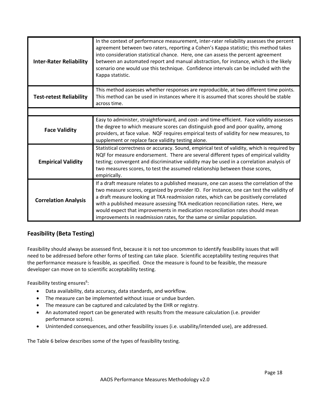<span id="page-17-0"></span>

| <b>Inter-Rater Reliability</b> | In the context of performance measurement, inter-rater reliability assesses the percent<br>agreement between two raters, reporting a Cohen's Kappa statistic; this method takes<br>into consideration statistical chance. Here, one can assess the percent agreement<br>between an automated report and manual abstraction, for instance, which is the likely<br>scenario one would use this technique. Confidence intervals can be included with the<br>Kappa statistic.                                                   |
|--------------------------------|-----------------------------------------------------------------------------------------------------------------------------------------------------------------------------------------------------------------------------------------------------------------------------------------------------------------------------------------------------------------------------------------------------------------------------------------------------------------------------------------------------------------------------|
| <b>Test-retest Reliability</b> | This method assesses whether responses are reproducible, at two different time points.<br>This method can be used in instances where it is assumed that scores should be stable<br>across time.                                                                                                                                                                                                                                                                                                                             |
|                                |                                                                                                                                                                                                                                                                                                                                                                                                                                                                                                                             |
| <b>Face Validity</b>           | Easy to administer, straightforward, and cost- and time-efficient. Face validity assesses<br>the degree to which measure scores can distinguish good and poor quality, among<br>providers, at face value. NQF requires empirical tests of validity for new measures, to<br>supplement or replace face validity testing alone.                                                                                                                                                                                               |
| <b>Empirical Validity</b>      | Statistical correctness or accuracy. Sound, empirical test of validity, which is required by<br>NQF for measure endorsement. There are several different types of empirical validity<br>testing; convergent and discriminative validity may be used in a correlation analysis of<br>two measures scores, to test the assumed relationship between those scores,<br>empirically.                                                                                                                                             |
| <b>Correlation Analysis</b>    | If a draft measure relates to a published measure, one can assess the correlation of the<br>two measure scores, organized by provider ID. For instance, one can test the validity of<br>a draft measure looking at TKA readmission rates, which can be positively correlated<br>with a published measure assessing TKA medication reconciliation rates. Here, we<br>would expect that improvements in medication reconciliation rates should mean<br>improvements in readmission rates, for the same or similar population. |

## **Feasibility (Beta Testing)**

Feasibility should always be assessed first, because it is not too uncommon to identify feasibility issues that will need to be addressed before other forms of testing can take place. Scientific acceptability testing requires that the performance measure is feasible, as specified. Once the measure is found to be feasible, the measure developer can move on to scientific acceptability testing.

Feasibility testing ensures<sup>6</sup>:

- Data availability, data accuracy, data standards, and workflow.
- The measure can be implemented without issue or undue burden.
- The measure can be captured and calculated by the EHR or registry.
- An automated report can be generated with results from the measure calculation (i.e. provider performance scores).
- Unintended consequences, and other feasibility issues (i.e. usability/intended use), are addressed.

The Table 6 below describes some of the types of feasibility testing.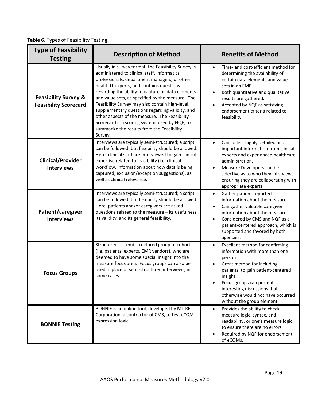**Table 6.** Types of Feasibility Testing.

| <b>Type of Feasibility</b><br><b>Testing</b>                    | <b>Description of Method</b>                                                                                                                                                                                                                                                                                                                                                                                                                                                                                                                                                | <b>Benefits of Method</b>                                                                                                                                                                                                                                                                                |  |  |
|-----------------------------------------------------------------|-----------------------------------------------------------------------------------------------------------------------------------------------------------------------------------------------------------------------------------------------------------------------------------------------------------------------------------------------------------------------------------------------------------------------------------------------------------------------------------------------------------------------------------------------------------------------------|----------------------------------------------------------------------------------------------------------------------------------------------------------------------------------------------------------------------------------------------------------------------------------------------------------|--|--|
| <b>Feasibility Survey &amp;</b><br><b>Feasibility Scorecard</b> | Usually in survey format, the Feasibility Survey is<br>administered to clinical staff, informatics<br>professionals, department managers, or other<br>health IT experts, and contains questions<br>regarding the ability to capture all data elements<br>and value sets, as specified by the measure. The<br>Feasibility Survey may also contain high-level,<br>supplementary questions regarding validity, and<br>other aspects of the measure. The Feasibility<br>Scorecard is a scoring system, used by NQF, to<br>summarize the results from the Feasibility<br>Survey. | Time- and cost-efficient method for<br>$\bullet$<br>determining the availability of<br>certain data elements and value<br>sets in an EMR.<br>Both quantitative and qualitative<br>$\bullet$<br>results are gathered.<br>Accepted by NQF as satisfying<br>endorsement criteria related to<br>feasibility. |  |  |
| <b>Clinical/Provider</b><br><b>Interviews</b>                   | Interviews are typically semi-structured; a script<br>can be followed, but flexibility should be allowed.<br>Here, clinical staff are interviewed to gain clinical<br>expertise related to feasibility (i.e. clinical<br>workflow, information about how data is being<br>captured, exclusion/exception suggestions), as<br>well as clinical relevance.                                                                                                                                                                                                                     | Can collect highly detailed and<br>$\bullet$<br>important information from clinical<br>experts and experienced healthcare<br>administration.<br>Measure Developers can be<br>$\bullet$<br>selective as to who they interview,<br>ensuring they are collaborating with<br>appropriate experts.            |  |  |
| Patient/caregiver<br><b>Interviews</b>                          | Interviews are typically semi-structured; a script<br>can be followed, but flexibility should be allowed.<br>Here, patients and/or caregivers are asked<br>questions related to the measure - its usefulness,<br>its validity, and its general feasibility.                                                                                                                                                                                                                                                                                                                 | Gather patient-reported<br>$\bullet$<br>information about the measure.<br>Can gather valuable caregiver<br>information about the measure.<br>Considered by CMS and NQF as a<br>patient-centered approach, which is<br>supported and favored by both<br>agencies.                                         |  |  |
| <b>Focus Groups</b>                                             | Structured or semi-structured group of cohorts<br>(i.e. patients, experts, EMR vendors), who are<br>deemed to have some special insight into the<br>measure focus area. Focus groups can also be<br>used in place of semi-structured interviews, in<br>some cases.                                                                                                                                                                                                                                                                                                          | Excellent method for confirming<br>$\bullet$<br>information with more than one<br>person.<br>Great method for including<br>patients, to gain patient-centered<br>insight.<br>Focus groups can prompt<br>interesting discussions that<br>otherwise would not have occurred<br>without the group element.  |  |  |
| <b>BONNIE Testing</b>                                           | BONNIE is an online tool, developed by MITRE<br>Corporation, a contractor of CMS, to test eCQM<br>expression logic.                                                                                                                                                                                                                                                                                                                                                                                                                                                         | Provides the ability to check<br>$\bullet$<br>measure logic, syntax, and<br>readability, or one's measure logic,<br>to ensure there are no errors.<br>Required by NQF for endorsement<br>of eCQMs.                                                                                                       |  |  |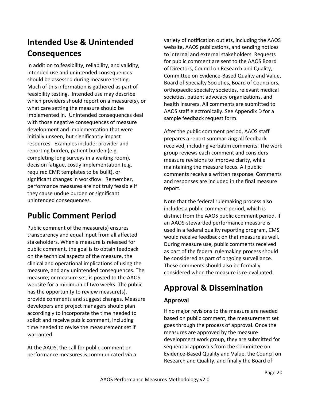## <span id="page-19-0"></span>**Intended Use & Unintended Consequences**

In addition to feasibility, reliability, and validity, intended use and unintended consequences should be assessed during measure testing. Much of this information is gathered as part of feasibility testing. Intended use may describe which providers should report on a measure(s), or what care setting the measure should be implemented in. Unintended consequences deal with those negative consequences of measure development and implementation that were initially unseen, but significantly impact resources. Examples include: provider and reporting burden, patient burden (e.g. completing long surveys in a waiting room), decision fatigue, costly implementation (e.g. required EMR templates to be built), or significant changes in workflow. Remember, performance measures are not truly feasible if they cause undue burden or significant unintended consequences.

## **Public Comment Period**

Public comment of the measure(s) ensures transparency and equal input from all affected stakeholders. When a measure is released for public comment, the goal is to obtain feedback on the technical aspects of the measure, the clinical and operational implications of using the measure, and any unintended consequences. The measure, or measure set, is posted to the AAOS website for a minimum of two weeks. The public has the opportunity to review measure(s), provide comments and suggest changes. Measure developers and project managers should plan accordingly to incorporate the time needed to solicit and receive public comment, including time needed to revise the measurement set if warranted.

At the AAOS, the call for public comment on performance measures is communicated via a variety of notification outlets, including the AAOS website, AAOS publications, and sending notices to internal and external stakeholders. Requests for public comment are sent to the AAOS Board of Directors, Council on Research and Quality, Committee on Evidence‐Based Quality and Value, Board of Specialty Societies, Board of Councilors, orthopaedic specialty societies, relevant medical societies, patient advocacy organizations, and health insurers. All comments are submitted to AAOS staff electronically. See Appendix D for a sample feedback request form.

After the public comment period, AAOS staff prepares a report summarizing all feedback received, including verbatim comments. The work group reviews each comment and considers measure revisions to improve clarity, while maintaining the measure focus. All public comments receive a written response. Comments and responses are included in the final measure report.

Note that the federal rulemaking process also includes a public comment period, which is distinct from the AAOS public comment period. If an AAOS‐stewarded performance measure is used in a federal quality reporting program, CMS would receive feedback on that measure as well. During measure use, public comments received as part of the federal rulemaking process should be considered as part of ongoing surveillance. These comments should also be formally considered when the measure is re‐evaluated.

## **Approval & Dissemination**

## **Approval**

If no major revisions to the measure are needed based on public comment, the measurement set goes through the process of approval. Once the measures are approved by the measure development work group, they are submitted for sequential approvals from the Committee on Evidence‐Based Quality and Value, the Council on Research and Quality, and finally the Board of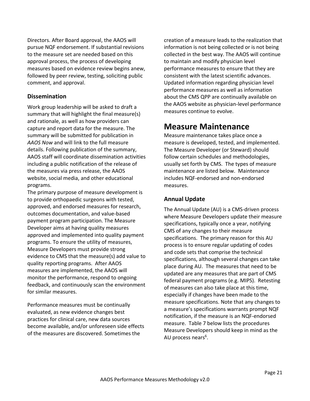<span id="page-20-0"></span>Directors. After Board approval, the AAOS will pursue NQF endorsement. If substantial revisions to the measure set are needed based on this approval process, the process of developing measures based on evidence review begins anew, followed by peer review, testing, soliciting public comment, and approval.

### **Dissemination**

Work group leadership will be asked to draft a summary that will highlight the final measure(s) and rationale, as well as how providers can capture and report data for the measure. The summary will be submitted for publication in *AAOS Now* and will link to the full measure details. Following publication of the summary, AAOS staff will coordinate dissemination activities including a public notification of the release of the measures via press release, the AAOS website, social media, and other educational programs.

The primary purpose of measure development is to provide orthopaedic surgeons with tested, approved, and endorsed measures for research, outcomes documentation, and value‐based payment program participation. The Measure Developer aims at having quality measures approved and implemented into quality payment programs. To ensure the utility of measures, Measure Developers must provide strong evidence to CMS that the measure(s) add value to quality reporting programs. After AAOS measures are implemented, the AAOS will monitor the performance, respond to ongoing feedback, and continuously scan the environment for similar measures.

Performance measures must be continually evaluated, as new evidence changes best practices for clinical care, new data sources become available, and/or unforeseen side effects of the measures are discovered. Sometimes the

creation of a measure leads to the realization that information is not being collected or is not being collected in the best way. The AAOS will continue to maintain and modify physician level performance measures to ensure that they are consistent with the latest scientific advances. Updated information regarding physician level performance measures as well as information about the CMS QPP are continually available on the AAOS website as physician‐level performance measures continue to evolve.

## **Measure Maintenance**

Measure maintenance takes place once a measure is developed, tested, and implemented. The Measure Developer (or Steward) should follow certain schedules and methodologies, usually set forth by CMS. The types of measure maintenance are listed below. Maintenance includes NQF‐endorsed and non‐endorsed measures.

### **Annual Update**

The Annual Update (AU) is a CMS‐driven process where Measure Developers update their measure specifications, typically once a year, notifying CMS of any changes to their measure specifications. The primary reason for this AU process is to ensure regular updating of codes and code sets that comprise the technical specifications, although several changes can take place during AU. The measures that need to be updated are any measures that are part of CMS federal payment programs (e.g. MIPS). Retesting of measures can also take place at this time, especially if changes have been made to the measure specifications. Note that any changes to a measure's specifications warrants prompt NQF notification, if the measure is an NQF‐endorsed measure. Table 7 below lists the procedures Measure Developers should keep in mind as the AU process nears<sup>6</sup>.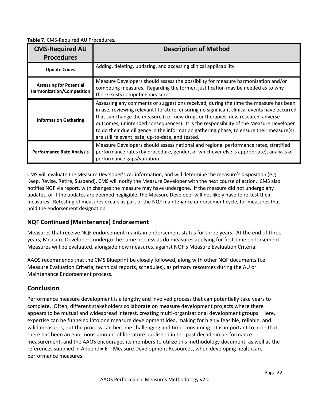<span id="page-21-0"></span>**Table 7**. CMS‐Required AU Procedures.

| <b>CMS-Required AU</b><br><b>Procedures</b>                 | <b>Description of Method</b>                                                                                                                                                                                                                                                                                                                                                                                                                                                                                       |  |  |
|-------------------------------------------------------------|--------------------------------------------------------------------------------------------------------------------------------------------------------------------------------------------------------------------------------------------------------------------------------------------------------------------------------------------------------------------------------------------------------------------------------------------------------------------------------------------------------------------|--|--|
| <b>Update Codes</b>                                         | Adding, deleting, updating, and accessing clinical applicability.                                                                                                                                                                                                                                                                                                                                                                                                                                                  |  |  |
| <b>Assessing for Potential</b><br>Harmonization/Competition | Measure Developers should assess the possibility for measure harmonization and/or<br>competing measures. Regarding the former, justification may be needed as to why<br>there exists competing measures.                                                                                                                                                                                                                                                                                                           |  |  |
| <b>Information Gathering</b>                                | Assessing any comments or suggestions received, during the time the measure has been<br>in use, reviewing relevant literature, ensuring no significant clinical events have occurred<br>that can change the measure (i.e., new drugs or therapies, new research, adverse<br>outcomes, unintended consequences). It is the responsibility of the Measure Developer<br>to do their due diligence in the information gathering phase, to ensure their measure(s)<br>are still relevant, safe, up-to-date, and tested. |  |  |
| <b>Performance Rate Analysis</b>                            | Measure Developers should assess national and regional performance rates, stratified<br>performance rates (by procedure, gender, or whichever else is appropriate), analysis of<br>performance gaps/variation.                                                                                                                                                                                                                                                                                                     |  |  |

CMS will evaluate the Measure Developer's AU information, and will determine the measure's disposition (e.g. Keep, Revise, Retire, Suspend). CMS will notify the Measure Developer with the next course of action. CMS also notifies NQF via report, with changes the measure may have undergone. If the measure did not undergo any updates, or if the updates are deemed negligible, the Measure Developer will not likely have to re‐test their measures. Retesting of measures occurs as part of the NQF maintenance endorsement cycle, for measures that hold the endorsement designation.

### **NQF Continued (Maintenance) Endorsement**

Measures that receive NQF endorsement maintain endorsement status for three years. At the end of three years, Measure Developers undergo the same process as do measures applying for first-time endorsement. Measures will be evaluated, alongside new measures, against NQF's Measure Evaluation Criteria.

AAOS recommends that the CMS Blueprint be closely followed, along with other NQF documents (i.e. Measure Evaluation Criteria, technical reports, schedules), as primary resources during the AU or Maintenance Endorsement process.

## **Conclusion**

Performance measure development is a lengthy and involved process that can potentially take years to complete. Often, different stakeholders collaborate on measure development projects where there appears to be mutual and widespread interest, creating multi‐organizational development groups. Here, expertise can be funneled into one measure development idea, making for highly feasible, reliable, and valid measures, but the process can become challenging and time‐consuming. It is important to note that there has been an enormous amount of literature published in the past decade in performance measurement, and the AAOS encourages its members to utilize this methodology document, as well as the references supplied in Appendix E – Measure Development Resources, when developing healthcare performance measures.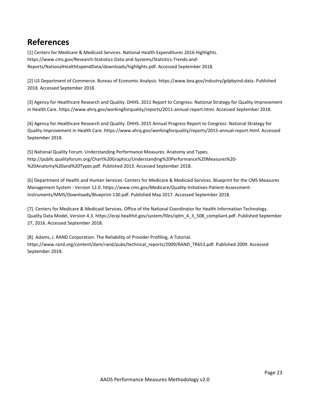## <span id="page-22-0"></span>**References**

[1] Centers for Medicare & Medicaid Services. National Health Expenditures 2016 Highlights. https://www.cms.gov/Research‐Statistics‐Data‐and‐Systems/Statistics‐Trends‐and‐ Reports/NationalHealthExpendData/downloads/highlights.pdf. Accessed September 2018.

[2] US Department of Commerce. Bureau of Economic Analysis. https://www.bea.gov/industry/gdpbyind‐data. Published 2018. Accessed September 2018.

[3] Agency for Healthcare Research and Quality. DHHS. 2011 Report to Congress: National Strategy for Quality Improvement in Health Care. https://www.ahrq.gov/workingforquality/reports/2011-annual-report.html. Accessed September 2018.

[4] Agency for Healthcare Research and Quality. DHHS. 2015 Annual Progress Report to Congress: National Strategy for Quality Improvement in Health Care. https://www.ahrq.gov/workingforquality/reports/2015-annual-report.html. Accessed September 2018.

[5] National Quality Forum. Understanding Performance Measures: Anatomy and Types. http://public.qualityforum.org/Chart%20Graphics/Understanding%20Performance%20Measures%20‐ %20Anatomy%20and%20Types.pdf. Published 2013. Accessed September 2018.

[6] Department of Health and Human Services. Centers for Medicare & Medicaid Services. Blueprint for the CMS Measures Management System ‐ Version 12.0. https://www.cms.gov/Medicare/Quality‐Initiatives‐Patient‐Assessment‐ Instruments/MMS/Downloads/Blueprint‐130.pdf. Published May 2017. Accessed September 2018.

[7]. Centers for Medicare & Medicaid Services. Office of the National Coordinator for Health Information Technology. Quality Data Model, Version 4.3. https://ecqi.healthit.gov/system/files/qdm\_4\_3\_508\_compliant.pdf. Published September 27, 2016. Accessed September 2018.

[8]. Adams, J. RAND Corporation. The Reliability of Provider Profiling, A Tutorial. https://www.rand.org/content/dam/rand/pubs/technical\_reports/2009/RAND\_TR653.pdf. Published 2009. Accessed September 2018.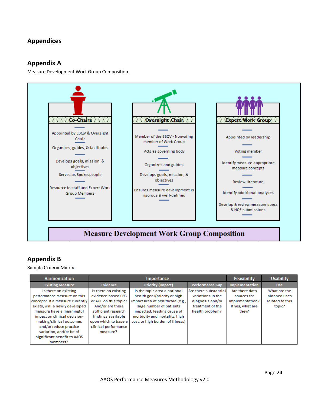## <span id="page-23-0"></span>**Appendices**

## **Appendix A**

Measure Development Work Group Composition.



## **Appendix B**

Sample Criteria Matrix.

| <b>Harmonization</b>            | <b>Importance</b>     |                                  |                        | <b>Feasibility</b>    | <b>Usability</b> |
|---------------------------------|-----------------------|----------------------------------|------------------------|-----------------------|------------------|
| <b>Existing Measure</b>         | Evidence              | <b>Priority (Impact)</b>         | <b>Performance Gap</b> | <b>Implementation</b> | <b>Use</b>       |
| Is there an existing            | Is there an existing  | Is the topic area a national     | Are there substantial  | Are there data        | What are the     |
| performance measure on this     | evidence-based CPG    | health goal/priority or high     | variations in the      | sources for           | planned uses     |
| concept? If a measure currently | or AUC on this topic? | impact area of healthcare (e.g., | diagnosis and/or       | Implementation?       | related to this  |
| exists, will a newly developed  | And/or are there      | large number of patients         | treatment of the       | If yes, what are      | topic?           |
| measure have a meaningful       | sufficient research   | impacted, leading cause of       | health problem?        | they?                 |                  |
| impact on clinical decision-    | findings available    | morbidity and mortality, high    |                        |                       |                  |
| making/clinical outcomes        | upon which to base a  | cost, or high burden of illness) |                        |                       |                  |
| and/or reduce practice          | clinical performance  |                                  |                        |                       |                  |
| variation, and/or be of         | measure?              |                                  |                        |                       |                  |
| significant benefit to AAOS     |                       |                                  |                        |                       |                  |
| members?                        |                       |                                  |                        |                       |                  |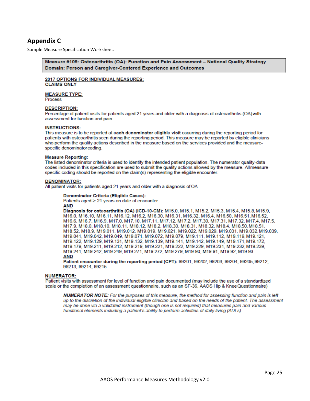## <span id="page-24-0"></span>**Appendix C**

Sample Measure Specification Worksheet.

#### Measure #109: Osteoarthritis (OA): Function and Pain Assessment – National Quality Strategy Domain: Person and Caregiver-Centered Experience and Outcomes

#### 2017 OPTIONS FOR INDIVIDUAL MEASURES: **CLAIMS ONLY**

### **MEASURE TYPE:**

**Process** 

#### **DESCRIPTION:**

Percentage of patient visits for patients aged 21 years and older with a diagnosis of osteoarthritis (OA) with assessment for function and pain

#### **INSTRUCTIONS:**

This measure is to be reported at each denominator eligible visit occurring during the reporting period for patients with osteoarthritis seen during the reporting period. This measure may be reported by eligible clinicians who perform the quality actions described in the measure based on the services provided and the measurespecific denominator coding.

#### **Measure Reporting:**

The listed denominator criteria is used to identify the intended patient population. The numerator quality-data codes included in this specification are used to submit the quality actions allowed by the measure. All measurespecific coding should be reported on the claim(s) representing the eligible encounter.

#### **DENOMINATOR:**

All patient visits for patients aged 21 years and older with a diagnosis of OA

#### Denominator Criteria (Eligible Cases):

Patients aged  $\geq$  21 years on date of encounter **AND** 

Diagnosis for osteoarthritis (OA) (ICD-10-CM): M15.0, M15.1, M15.2, M15.3, M15.4, M15.8, M15.9, M16.0, M16.10, M16.11, M16.12, M16.2, M16.30, M16.31, M16.32, M16.4, M16.50, M16.51, M16.52, M16.6, M16.7, M16.9, M17.0, M17.10, M17.11, M17.12, M17.2, M17.30, M17.31, M17.32, M17.4, M17.5, M17.9, M18.0, M18.10, M18.11, M18.12, M18.2, M18.30, M18.31, M18.32, M18.4, M18.50, M18.51, M18.52, M18.9, M19.011, M19.012, M19.019, M19.021, M19.022, M19.029, M19.031, M19.032, M19.039, M19.041, M19.042, M19.049, M19.071, M19.072, M19.079, M19.111, M19.112, M19.119, M19.121, M19.122, M19.129, M19.131, M19.132, M19.139, M19.141, M19.142, M19.149, M19.171, M19.172, M19.179, M19.211, M19.212, M19.219, M19.221, M19.222, M19.229, M19.231, M19.232, M19.239, M19.241, M19.242, M19.249, M19.271, M19.272, M19.279, M19.90, M19.91, M19.92, M19.93 **AND** 

Patient encounter during the reporting period (CPT): 99201, 99202, 99203, 99204, 99205, 99212, 99213, 99214, 99215

#### **NUMERATOR:**

Patient visits with assessment for level of function and pain documented (may include the use of a standardized scale or the completion of an assessment questionnaire, such as an SF-36, AAOS Hip & Knee Questionnaire)

**NUMERATOR NOTE:** For the purposes of this measure, the method for assessing function and pain is left up to the discretion of the individual eligible clinician and based on the needs of the patient. The assessment may be done via a validated instrument (though one is not required) that measures pain and various functional elements including a patient's ability to perform activities of daily living (ADLs).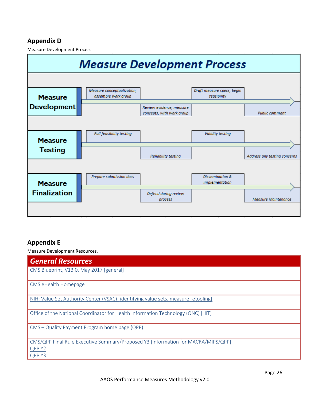## <span id="page-25-0"></span>**Appendix D**

Measure Development Process.



## **Appendix E**

Measure Development Resources.

| <b>General Resources</b>                                                           |
|------------------------------------------------------------------------------------|
| CMS Blueprint, V13.0, May 2017 [general]                                           |
| CMS eHealth Homepage                                                               |
| NIH: Value Set Authority Center (VSAC) [identifying value sets, measure retooling] |
| Office of the National Coordinator for Health Information Technology (ONC) [HIT]   |
| CMS - Quality Payment Program home page (QPP)                                      |
| CMS/QPP Final Rule Executive Summary/Proposed Y3 [information for MACRA/MIPS/QPP]  |
| QPP Y2<br>QPP Y3                                                                   |